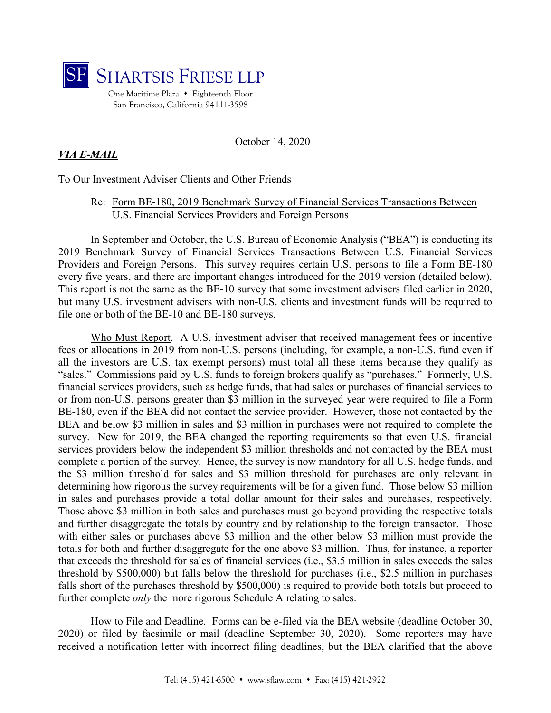

October 14, 2020

## *VIA E-MAIL*

To Our Investment Adviser Clients and Other Friends

## Re: Form BE-180, 2019 Benchmark Survey of Financial Services Transactions Between U.S. Financial Services Providers and Foreign Persons

In September and October, the U.S. Bureau of Economic Analysis ("BEA") is conducting its 2019 Benchmark Survey of Financial Services Transactions Between U.S. Financial Services Providers and Foreign Persons. This survey requires certain U.S. persons to file a Form BE-180 every five years, and there are important changes introduced for the 2019 version (detailed below). This report is not the same as the BE-10 survey that some investment advisers filed earlier in 2020, but many U.S. investment advisers with non-U.S. clients and investment funds will be required to file one or both of the BE-10 and BE-180 surveys.

Who Must Report. A U.S. investment adviser that received management fees or incentive fees or allocations in 2019 from non-U.S. persons (including, for example, a non-U.S. fund even if all the investors are U.S. tax exempt persons) must total all these items because they qualify as "sales." Commissions paid by U.S. funds to foreign brokers qualify as "purchases." Formerly, U.S. financial services providers, such as hedge funds, that had sales or purchases of financial services to or from non-U.S. persons greater than \$3 million in the surveyed year were required to file a Form BE-180, even if the BEA did not contact the service provider. However, those not contacted by the BEA and below \$3 million in sales and \$3 million in purchases were not required to complete the survey. New for 2019, the BEA changed the reporting requirements so that even U.S. financial services providers below the independent \$3 million thresholds and not contacted by the BEA must complete a portion of the survey. Hence, the survey is now mandatory for all U.S. hedge funds, and the \$3 million threshold for sales and \$3 million threshold for purchases are only relevant in determining how rigorous the survey requirements will be for a given fund. Those below \$3 million in sales and purchases provide a total dollar amount for their sales and purchases, respectively. Those above \$3 million in both sales and purchases must go beyond providing the respective totals and further disaggregate the totals by country and by relationship to the foreign transactor. Those with either sales or purchases above \$3 million and the other below \$3 million must provide the totals for both and further disaggregate for the one above \$3 million. Thus, for instance, a reporter that exceeds the threshold for sales of financial services (i.e., \$3.5 million in sales exceeds the sales threshold by \$500,000) but falls below the threshold for purchases (i.e., \$2.5 million in purchases falls short of the purchases threshold by \$500,000) is required to provide both totals but proceed to further complete *only* the more rigorous Schedule A relating to sales.

How to File and Deadline. Forms can be e-filed via the BEA website (deadline October 30, 2020) or filed by facsimile or mail (deadline September 30, 2020). Some reporters may have received a notification letter with incorrect filing deadlines, but the BEA clarified that the above